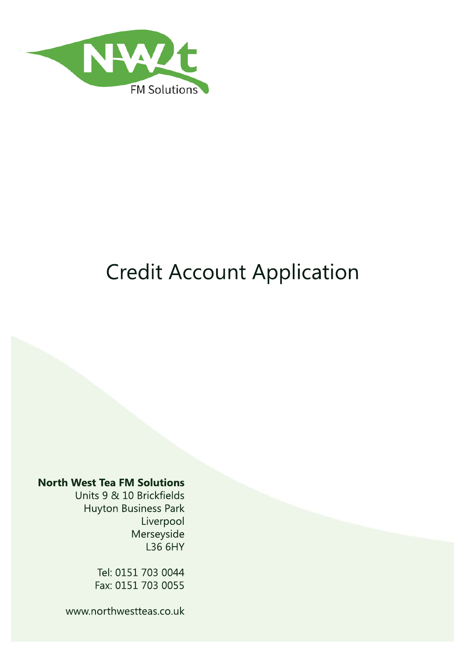

# Credit Account Application

### **North West Tea FM Solutions**

Units 9 & 10 Brickfields Huyton Business Park Liverpool Merseyside L36 6HY

> Tel: 0151 703 0044 Fax: 0151 703 0055

www.northwestteas.co.uk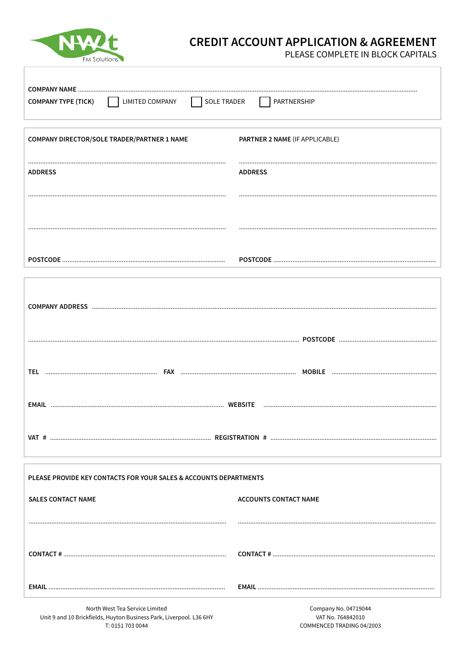

# **CREDIT ACCOUNT APPLICATION & AGREEMENT**

PLEASE COMPLETE IN BLOCK CAPITALS

| LIMITED COMPANY<br>  SOLE TRADER<br>    PARTNERSHIP<br><b>COMPANY TYPE (TICK)</b> |                                |  |
|-----------------------------------------------------------------------------------|--------------------------------|--|
| COMPANY DIRECTOR/SOLE TRADER/PARTNER 1 NAME                                       | PARTNER 2 NAME (IF APPLICABLE) |  |
| <b>ADDRESS</b>                                                                    | <b>ADDRESS</b>                 |  |
|                                                                                   |                                |  |
|                                                                                   |                                |  |
|                                                                                   |                                |  |
|                                                                                   |                                |  |
|                                                                                   |                                |  |
|                                                                                   |                                |  |
|                                                                                   |                                |  |
|                                                                                   |                                |  |
| PLEASE PROVIDE KEY CONTACTS FOR YOUR SALES & ACCOUNTS DEPARTMENTS                 |                                |  |
| <b>SALES CONTACT NAME</b>                                                         | <b>ACCOUNTS CONTACT NAME</b>   |  |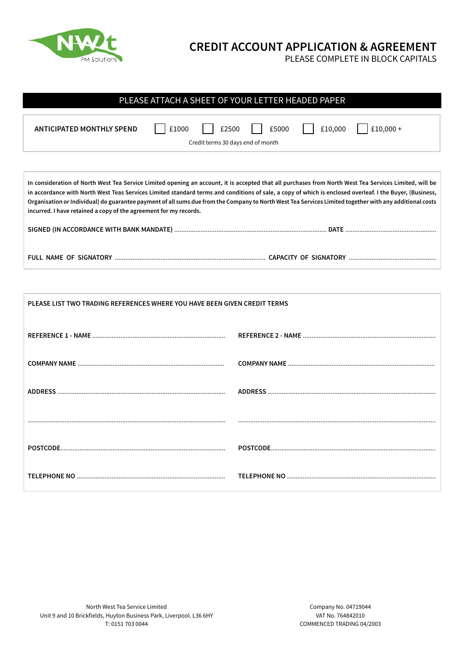

ľ

## **CREDIT ACCOUNT APPLICATION & AGREEMENT**

PLEASE COMPLETE IN BLOCK CAPITALS

| PLEASE ATTACH A SHEET OF YOUR LETTER HEADED PAPER                                                                                                                                                                                                                                                                                                                                                                                                                                                                                                  |  |  |
|----------------------------------------------------------------------------------------------------------------------------------------------------------------------------------------------------------------------------------------------------------------------------------------------------------------------------------------------------------------------------------------------------------------------------------------------------------------------------------------------------------------------------------------------------|--|--|
| £10,000 +<br>£10,000<br><b>ANTICIPATED MONTHLY SPEND</b><br>£1000<br>£5000<br>£2500<br>Credit terms 30 days end of month                                                                                                                                                                                                                                                                                                                                                                                                                           |  |  |
|                                                                                                                                                                                                                                                                                                                                                                                                                                                                                                                                                    |  |  |
| In consideration of North West Tea Service Limited opening an account, it is accepted that all purchases from North West Tea Services Limited, will be<br>in accordance with North West Teas Services Limited standard terms and conditions of sale, a copy of which is enclosed overleaf. I the Buyer, (Business,<br>Organisation or Individual) do guarantee payment of all sums due from the Company to North West Tea Services Limited together with any additional costs<br>incurred. I have retained a copy of the agreement for my records. |  |  |
|                                                                                                                                                                                                                                                                                                                                                                                                                                                                                                                                                    |  |  |
|                                                                                                                                                                                                                                                                                                                                                                                                                                                                                                                                                    |  |  |
|                                                                                                                                                                                                                                                                                                                                                                                                                                                                                                                                                    |  |  |

| PLEASE LIST TWO TRADING REFERENCES WHERE YOU HAVE BEEN GIVEN CREDIT TERMS |  |
|---------------------------------------------------------------------------|--|
|                                                                           |  |
|                                                                           |  |
|                                                                           |  |
|                                                                           |  |
|                                                                           |  |
|                                                                           |  |